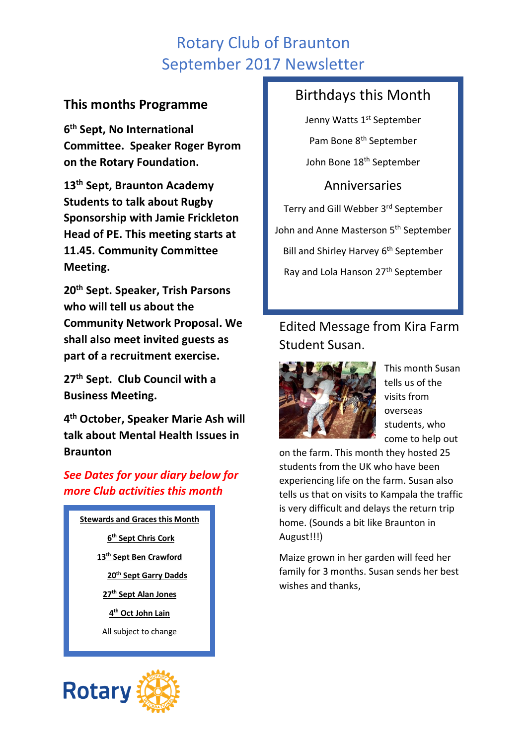# Rotary Club of Braunton September 2017 Newsletter

### **This months Programme**

**6 th Sept, No International Committee. Speaker Roger Byrom on the Rotary Foundation.**

**13th Sept, Braunton Academy Students to talk about Rugby Sponsorship with Jamie Frickleton Head of PE. This meeting starts at 11.45. Community Committee Meeting.**

**20th Sept. Speaker, Trish Parsons who will tell us about the Community Network Proposal. We shall also meet invited guests as part of a recruitment exercise.**

**27th Sept. Club Council with a Business Meeting.**

**4 th October, Speaker Marie Ash will talk about Mental Health Issues in Braunton**

### *See Dates for your diary below for more Club activities this month*

**Stewards and Graces this Month th Sept Chris Cork th Sept Ben Crawford th Sept Garry Dadds th Sept Alan Jones th Oct John Lain** All subject to change



# Birthdays this Month

Jenny Watts 1<sup>st</sup> September Pam Bone 8<sup>th</sup> September John Bone 18th September

Anniversaries Terry and Gill Webber 3rd September John and Anne Masterson 5<sup>th</sup> September Bill and Shirley Harvey 6<sup>th</sup> September Ray and Lola Hanson 27<sup>th</sup> September

# Edited Message from Kira Farm Student Susan.



This month Susan tells us of the visits from overseas students, who come to help out

on the farm. This month they hosted 25 students from the UK who have been experiencing life on the farm. Susan also tells us that on visits to Kampala the traffic is very difficult and delays the return trip home. (Sounds a bit like Braunton in August!!!)

Maize grown in her garden will feed her family for 3 months. Susan sends her best wishes and thanks,